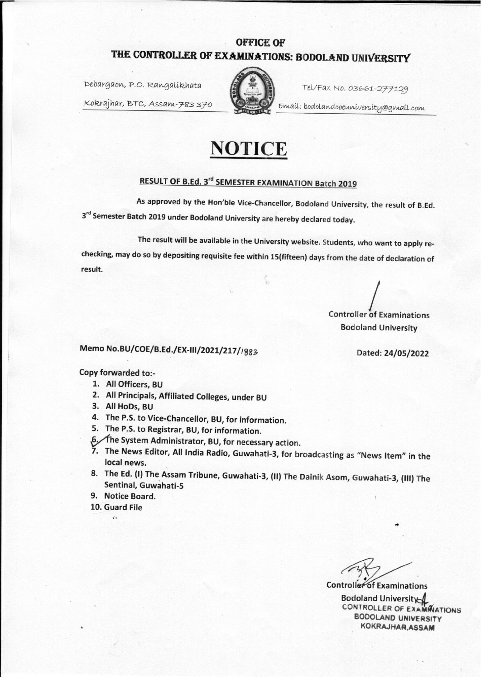## **OFFICE OF** THE CONTROLLER OF EXAMINATIONS: BODOLAND UNIVERSITY

Debargaon, P.O. Rangalíkhata

Tel/Fax No. 03661-277129

Email: bodolandcoeuniversity@gmail.com

Kokrajhar, BTC, Assam-783370



## RESULT OF B.Ed. 3rd SEMESTER EXAMINATION Batch 2019

As approved by the Hon'ble Vice-Chancellor, Bodoland University, the result of B.Ed. 3rd Semester Batch 2019 under Bodoland University are hereby declared today.

The result will be available in the University website. Students, who want to apply rechecking, may do so by depositing requisite fee within 15(fifteen) days from the date of declaration of result.

**Controller of Examinations Bodoland University** 

## Memo No.BU/COE/B.Ed./EX-III/2021/217/1883

Dated: 24/05/2022

## Copy forwarded to:-

- 1. All Officers, BU
- 2. All Principals, Affiliated Colleges, under BU
- 3. All HoDs, BU
- 4. The P.S. to Vice-Chancellor, BU, for information.
- 5. The P.S. to Registrar, BU, for information.
- 6, The System Administrator, BU, for necessary action.
- 7. The News Editor, All India Radio, Guwahati-3, for broadcasting as "News Item" in the local news.
- 8. The Ed. (I) The Assam Tribune, Guwahati-3, (II) The Dainik Asom, Guwahati-3, (III) The Sentinal, Guwahati-5
- 9. Notice Board.
- 10. Guard File  $\mathcal{L}_{\bullet}$

**Controller** of Examinations **Bodoland University** CONTROLLER OF EXAMINATIONS **BODOLAND UNIVERSITY** KOKRAJHAR, ASSAM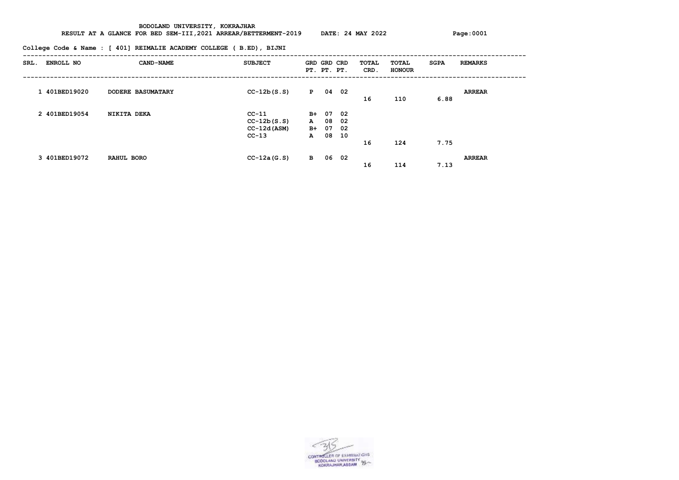**RESULT AT A GLANCE FOR BED SEM-III,2021 ARREAR/BETTERMENT-2019 DATE: 24 MAY 2022 Page:0001**

**College Code & Name : [ 401] REIMALIE ACADEMY COLLEGE ( B.ED), BIJNI**

| SRL. | ENROLL NO     | <b>CAND-NAME</b>         | <b>SUBJECT</b>                                        | GRD GRD CRD<br>PT. PT. PT.                |                      |                          | TOTAL<br>CRD. | TOTAL<br><b>HONOUR</b> | <b>SGPA</b> | <b>REMARKS</b> |
|------|---------------|--------------------------|-------------------------------------------------------|-------------------------------------------|----------------------|--------------------------|---------------|------------------------|-------------|----------------|
|      | 1 401BED19020 | <b>DODERE BASUMATARY</b> | $CC-12b(S.S)$                                         | P                                         | 04                   | 02                       | 16            | 110                    | 6.88        | <b>ARREAR</b>  |
|      | 2 401BED19054 | NIKITA DEKA              | $CC-11$<br>$CC-12b(S.S)$<br>$CC-12d (ASM)$<br>$CC-13$ | $B+$<br>${\bf A}$<br>$B+$<br>$\mathbf{A}$ | 07<br>08<br>07<br>08 | 02<br>- 02<br>- 02<br>10 | 16            | 124                    | 7.75        |                |
|      | 3 401BED19072 | RAHUL BORO               | $CC-12a(G.S)$                                         | $\mathbf{B}$                              | 06                   | 02                       | 16            | 114                    | 7.13        | <b>ARREAR</b>  |

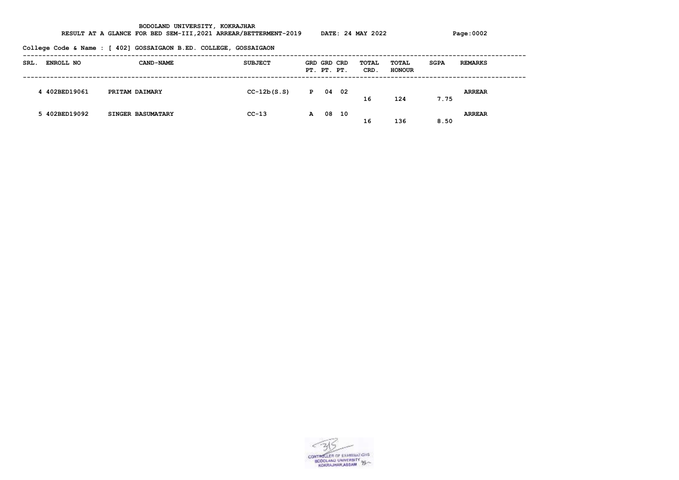RESULT AT A GLANCE FOR BED SEM-III,2021 ARREAR/BETTERMENT-2019 DATE: 24 MAY 2022 Page:0002

|      |                  | College Code & Name : [ 402] GOSSAIGAON B.ED. COLLEGE, GOSSAIGAON |                |              |                            |      |               |                        |             |                |
|------|------------------|-------------------------------------------------------------------|----------------|--------------|----------------------------|------|---------------|------------------------|-------------|----------------|
| SRL. | <b>ENROLL NO</b> | <b>CAND-NAME</b>                                                  | <b>SUBJECT</b> |              | GRD GRD CRD<br>PT. PT. PT. |      | TOTAL<br>CRD. | TOTAL<br><b>HONOUR</b> | <b>SGPA</b> | <b>REMARKS</b> |
|      | 4 402BED19061    | PRITAM DAIMARY                                                    | $CC-12b(S.S)$  | $\mathbf{P}$ | 04                         | - 02 | 16            | 124                    | 7.75        | <b>ARREAR</b>  |
|      | 5 402BED19092    | <b>SINGER BASUMATARY</b>                                          | $CC-13$        | A            | 08                         | 10   | 16            | 136                    | 8.50        | <b>ARREAR</b>  |

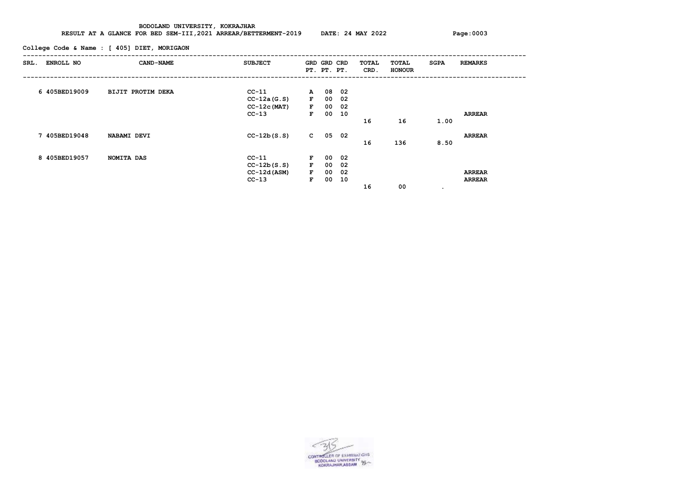**RESULT AT A GLANCE FOR BED SEM-III,2021 ARREAR/BETTERMENT-2019 DATE: 24 MAY 2022 Page:0003**

**College Code & Name : [ 405] DIET, MORIGAON**

| SRL. | ENROLL NO     | CAND-NAME                | <b>SUBJECT</b> |              | GRD GRD CRD<br>PT. PT. PT. |     | TOTAL<br>CRD. | TOTAL<br><b>HONOUR</b> | <b>SGPA</b> | <b>REMARKS</b> |
|------|---------------|--------------------------|----------------|--------------|----------------------------|-----|---------------|------------------------|-------------|----------------|
|      |               |                          |                |              |                            |     |               |                        |             |                |
|      | 6 405BED19009 | <b>BIJIT PROTIM DEKA</b> | $CC-11$        | $\mathbf{A}$ | 08                         | 02  |               |                        |             |                |
|      |               |                          | $CC-12a(G.S)$  | $\mathbf{F}$ | 00                         | 02  |               |                        |             |                |
|      |               |                          | $CC-12c(MAT)$  | $\mathbf{F}$ | 00                         | 02  |               |                        |             |                |
|      |               |                          | $CC-13$        | $\mathbf{F}$ | 00                         | 10  |               |                        |             | <b>ARREAR</b>  |
|      |               |                          |                |              |                            |     | 16            | 16                     | 1.00        |                |
|      |               |                          |                |              |                            |     |               |                        |             |                |
|      | 7 405BED19048 | NABAMI DEVI              | $CC-12b(S.S)$  | $\mathbf{C}$ | 05                         | 02  |               |                        |             | <b>ARREAR</b>  |
|      |               |                          |                |              |                            |     | 16            | 136                    | 8.50        |                |
|      | 8 405BED19057 | NOMITA DAS               | $CC-11$        | $\mathbf{F}$ | 00                         | 02  |               |                        |             |                |
|      |               |                          | $CC-12b(S.S)$  | $\mathbf{F}$ | 00                         | -02 |               |                        |             |                |
|      |               |                          | $CC-12d (ASM)$ | $\mathbf{F}$ | 00                         | 02  |               |                        |             | <b>ARREAR</b>  |
|      |               |                          |                |              |                            |     |               |                        |             |                |
|      |               |                          | $CC-13$        | F            | 00                         | 10  |               |                        |             | <b>ARREAR</b>  |
|      |               |                          |                |              |                            |     | 16            | 00                     | $\bullet$   |                |